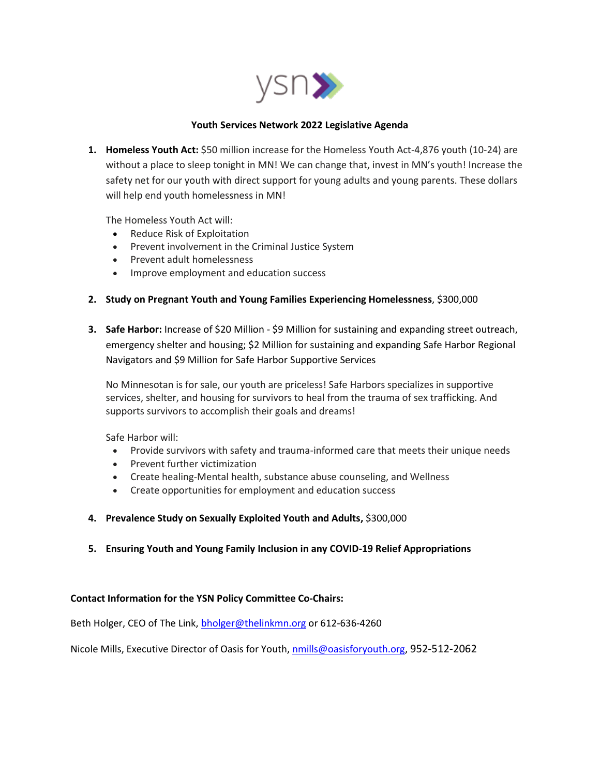

## **Youth Services Network 2022 Legislative Agenda**

**1. Homeless Youth Act:** \$50 million increase for the Homeless Youth Act-4,876 youth (10-24) are without a place to sleep tonight in MN! We can change that, invest in MN's youth! Increase the safety net for our youth with direct support for young adults and young parents. These dollars will help end youth homelessness in MN!

The Homeless Youth Act will:

- Reduce Risk of Exploitation
- Prevent involvement in the Criminal Justice System
- Prevent adult homelessness
- Improve employment and education success
- **2. Study on Pregnant Youth and Young Families Experiencing Homelessness**, \$300,000
- **3. Safe Harbor:** Increase of \$20 Million \$9 Million for sustaining and expanding street outreach, emergency shelter and housing; \$2 Million for sustaining and expanding Safe Harbor Regional Navigators and \$9 Million for Safe Harbor Supportive Services

No Minnesotan is for sale, our youth are priceless! Safe Harbors specializes in supportive services, shelter, and housing for survivors to heal from the trauma of sex trafficking. And supports survivors to accomplish their goals and dreams!

Safe Harbor will:

- Provide survivors with safety and trauma-informed care that meets their unique needs
- Prevent further victimization
- Create healing-Mental health, substance abuse counseling, and Wellness
- Create opportunities for employment and education success
- **4. Prevalence Study on Sexually Exploited Youth and Adults,** \$300,000
- **5. Ensuring Youth and Young Family Inclusion in any COVID-19 Relief Appropriations**

## **Contact Information for the YSN Policy Committee Co-Chairs:**

Beth Holger, CEO of The Link, [bholger@thelinkmn.org](mailto:bholger@thelinkmn.org) or 612-636-4260

Nicole Mills, Executive Director of Oasis for Youth, [nmills@oasisforyouth.org,](mailto:nmills@oasisforyouth.org) 952-512-2062